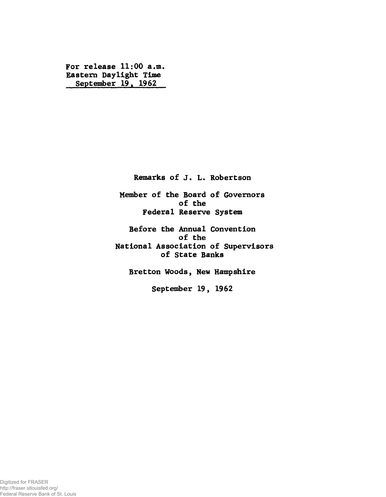**For release 11:00 a.m. Eastern Daylight Time September 19» 1962**

**Remarks of J. L. Robertson**

**Member of the Board of Governors of the Federal Reserve System**

**Before the Annual Convention of the National Association of Supervisors of State Banks**

**Bretton Woods, New Hampshire**

**September 19, 1962**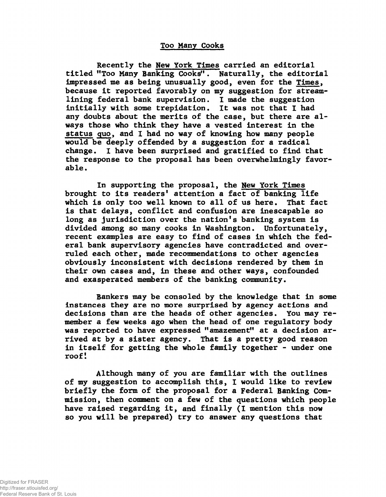## **Too Many Cooks**

**Recently the New York Times carried an editorial titled "Too Many Banking Cooks". Naturally, the editorial impressed me as being unusually good, even for the Times, because it reported favorably on my suggestion for streamlining federal bank supervision. I made the suggestion initially with some trepidation. It was not that I had any doubts about the merits of the case, but there are always those who think they have a vested interest in the status quo, and I had no way of knowing how many people would be deeply offended by a suggestion for a radical change. I have been surprised and gratified to find that the response to the proposal has been overwhelmingly favorable.**

**In supporting the proposal, the New York Times brought to its readers' attention a fact of banking life which is only too well known to all of us here. That fact is that delays, conflict and confusion are inescapable so long as jurisdiction over the nation's banking system is divided among so many cooks in Washington. Unfortunately, recent examples are easy to find of cases in which the federal bank supervisory agencies have contradicted and overruled each other, made recommendations to other agencies obviously inconsistent with decisions rendered by them in their own cases and, in these and other ways, confounded and exasperated members of the banking community.**

**Bankers may be consoled by the knowledge that in some instances they are no more surprised by agency actions and decisions than are the heads of other agencies. You may remember a few weeks ago when the head of one regulatory body was reported to have expressed "amazement" at a decision arrived at by a sister agency. That is a pretty good reason in itself for getting the whole family together - under one roof!**

**Although many of you are familiar with the outlines of my suggestion to accomplish this, I would like to review briefly the form of the proposal for a Federal Banking Commission, then comment on a few of the questions which people have raised regarding it, and finally (I mention this now so you will be prepared) try to answer any questions that**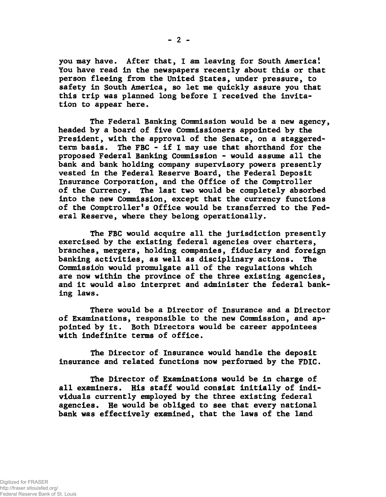**you may have. After that, I am leaving for South America! You have read in the newspapers recently about this or that person fleeing from the United States, under pressure, to safety in South America, so let me quickly assure you that this trip was planned long before 1 received the invitation to appear here.**

**The Federal Banking Commission would be a new agency, headed by a board of five Commissioners appointed by the President, with the approval of the Senate, on a staggeredterm basis. The FBC - if I may use that shorthand for the proposed Federal Banking Commission - would assume all the bank and bank holding company supervisory powers presently vested in the Federal Reserve Board, the Federal Deposit Insurance Corporation, and the Office of the Comptroller of the Currency. The last two would be completely absorbed into the new Commission, except that the currency functions of the Comptroller's Office would be transferred to the Federal Reserve, where they belong operationally.**

**The FBC would acquire all the jurisdiction presently exercised by the existing federal agencies over charters, branches, mergers, holding companies, fiduciary and foreign banking activities, as well as disciplinary actions. The Commission would promulgate all of the regulations which are now within the province of the three existing agencies, and it would also interpret and administer the federal banking laws.**

**There would be a Director of Insurance and a Director of Examinations, responsible to the new Commission, and appointed by it. Both Directors would be career appointees with indefinite terms of office.**

**The Director of Insurance would handle the deposit insurance and related functions now performed by the FDIC.**

**The Director of Examinations would be in charge of all examiners. His staff would consist initially of individuals currently employed by the three existing federal agencies. He would be obliged to see that every national bank was effectively examined, that the laws of the land**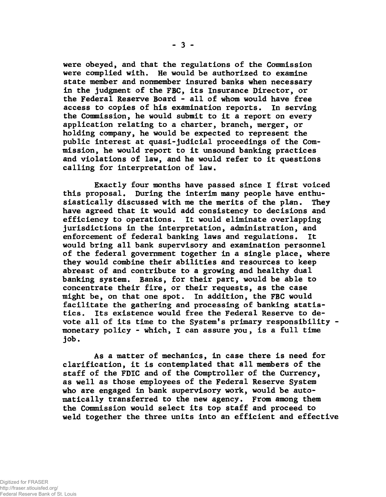**were obeyed, and Chat the regulations of the Commission were complied with. He would be authorized to examine state member and nomnember insured banks when necessary in the judgment of the FBC, its Insurance Director, or the Federal Reserve Board - all of whom would have free access to copies of his examination reports. In serving the Commission, he would submit to it a report on every application relating to a charter, branch, merger, or holding company, he would be expected to represent the public interest at quasi-judicial proceedings of the Commission, he would report to it unsound banking practices and violations of law, and he would refer to it questions calling for interpretation of law.**

**Exactly four months have passed since I first voiced this proposal. During the interim many people have enthusiastically discussed with me the merits of the plan. They have agreed that it would add consistency to decisions and efficiency to operations. It would eliminate overlapping jurisdictions in the interpretation, administration, and enforcement of federal banking laws and regulations. It would bring all bank supervisory and examination personnel of the federal government together in a single place, where they would combine their abilities and resources to keep abreast of and contribute to a growing and healthy dual banking system. Banks, for their part, would be able to concentrate their fire, or their requests, as the case might be, on that one spot. In addition, the FBC would facilitate the gathering and processing of banking statistics. Its existence would free the Federal Reserve to devote all of its time to the System's primary responsibility monetary policy - which, I can assure you, is a full time job.**

**As a matter of mechanics, in case there is need for clarification, it is contemplated that all members of the staff of the FDIC and of the Comptroller of the Currency, as well as those employees of the Federal Reserve System who are engaged in bank supervisory work, would be automatically transferred to the new agency. From among them the Commission would select its top staff and proceed to weld together the three units into an efficient and effective**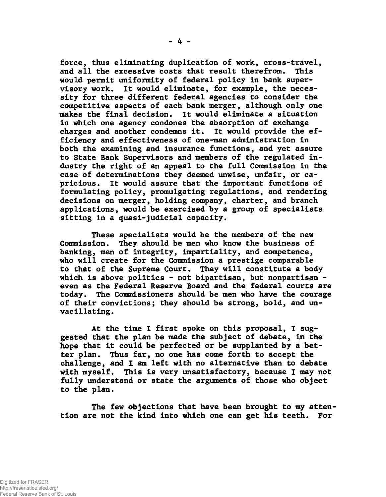**force, thus eliminating duplication of work, cross-travel, and all the excessive costs that result therefrom. This would permit uniformity of federal policy in bank supervisory work. It would eliminate, for example, the necessity for three different federal agencies to consider the competitive aspects of each bank merger, although only one makes the final decision. It would eliminate a situation in which one agency condones the absorption of exchange charges and another condemns it. It would provide the efficiency and effectiveness of one-man administration in both the examining and insurance functions, and yet assure to State Bank Supervisors and members of the regulated industry the right of an appeal to the full Commission in the case of determinations they deemed unwise, unfair, or capricious. It would assure that the important functions of formulating policy, promulgating regulations, and rendering decisions on merger, holding company, charter, and branch applications, would be exercised by a group of specialists sitting in a quasi-judicial capacity.**

**These specialists would be the members of the new Commission. They should be men who know the business of banking, men of integrity, impartiality, and competence, who will create for the Commission a prestige comparable to that of the Supreme Court. They will constitute a body which is above politics - not bipartisan, but nonpartisan even as the Federal Reserve Board and the federal courts are today. The Commissioners should be men who have the courage of their convictions; they should be strong, bold, and unvacillating.**

**At the time I first spoke on this proposal, I suggested that the plan be made the subject of debate, in the hope that it could be perfected or be supplanted by a better plan. Thus far, no one has come forth to accept the challenge, and I am left with no alternative than to debate with myself. This is very unsatisfactory, because I may not fully understand or state the arguments of those who object to the plan.**

**The few objections that have been brought to my atten tion are not the kind into which one can get his teeth. For**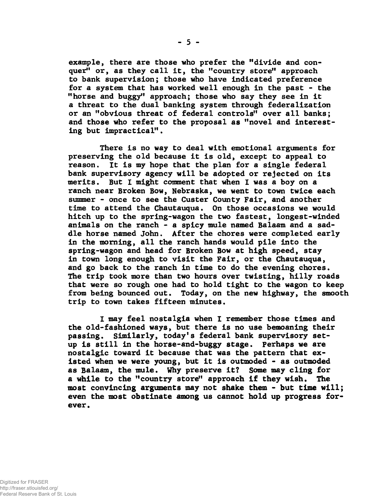**example, there are those who prefer the "divide and conquer" or, as they call it, the "country store" approach to bank supervision; those who have indicated preference for a system that has worked well enough in the past - the "horse and buggy" approach; those who say they see in it a threat to the dual banking system through federalization or an "obvious threat of federal controls" over all banks; and those who refer to the proposal as "novel and interesting but impractical".**

**There is no way to deal with emotional arguments for preserving the old because it is old, except to appeal to reason. It is my hope that the plan for a single federal bank supervisory agency will be adopted or rejected on its merits. But I might comment that when I was a boy on a ranch near Broken Bow, Nebraska, we went to town twice each Slimmer - once to see the Custer County Fair, and another time to attend the Chautauqua. On those occasions we would hitch up to the spring-wagon the two fastest, longest-winded animals on the ranch - a spicy mule named Balaam and a saddle horse named John. After the chores were completed early in the morning, all the ranch hands would pile into the spring-wagon and head for Broken Bow at high speed, stay in town long enough to visit the Fair, or the Chautauqua, and go back to the ranch in time to do the evening chores. The trip took more than two hours over twisting, hilly roads that were so rough one had to hold tight to the wagon to keep from being bounced out. Today, on the new highway, the smooth trip to town takes fifteen minutes.**

**I may feel nostalgia when I remember those times and the old-fashioned ways, but there is no use bemoaning their passing. Similarly, today's federal bank supervisory setup is still in the horse-and-buggy stage. Perhaps we are nostalgic toward it because that was the pattern that existed when we were young, but it is outmoded - as outmoded as Balaam, the mule\* Why preserve it? Some** *may* **cling for a while to the "country store" approach if they wish. The most convincing arguments may not shake them - but time will; even the most obstinate among us cannot hold up progress forever.**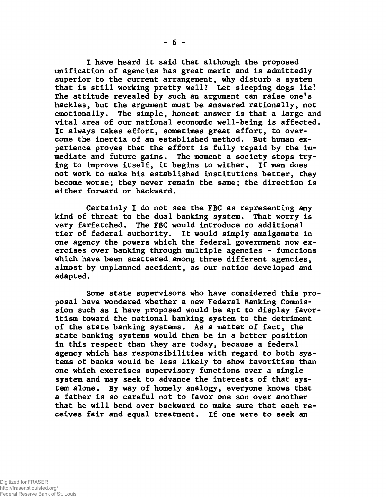**I have heard it said that although the proposed unification of agencies has great merit and is admittedly superior to the current arrangement, why disturb a system that is still working pretty well? Let sleeping dogs lie! The attitude revealed by such an argument can raise one's hackles, but the argument must be answered rationally, not emotionally. The simple, honest answer is that a large and vital area of our national economic well-being is affected. It always takes effort, sometimes great effort, to overcome the inertia of an established method. But human experience proves that the effort is fully repaid by the immediate and future gains. The moment a society stops trying to improve itself, it begins to wither. If man does not work to make his established institutions better, they become worse; they never remain the same; the direction is either forward or backward.**

**Certainly I do not see the FBC as representing any kind of threat to the dual banking system. That worry is very farfetched. The FBC would introduce no additional tier of federal authority. It would simply amalgamate in one agency the powers which the federal government now exercises over banking through multiple agencies - functions which have been scattered, among three different agencies, almost by unplanned accident, as our nation developed and adapted.**

**Some state supervisors who have considered this proposal have wondered whether a new Federal Banking Commission such as I have proposed would be apt to display favoritism toward the national banking system to the detriment of the state banking systems. As a matter of fact, the state banking systems would then be in a better position in this respect than they are today, because a federal agency which has responsibilities with regard to both systems of banks would be less likely to show favoritism than one which exercises supervisory functions over a single system and may seek to advance the interests of that system alone. By way of homely analogy, everyone knows that a father is so careful not to favor one son over another that he will bend over backward to make sure that each receives fair and equal treatment. If one were to seek an**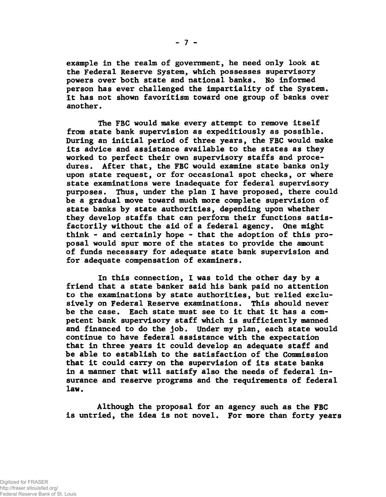**example In the realm of government, he need only look at the Federal Reserve System, which possesses supervisory powers over both state and national banks. No informed person has ever challenged the impartiality of the System. It has not shown favoritism toward one group of banks over another.**

**The FBC would make every attempt to remove itself from state bank supervision as expeditiously as possible. During an initial period of three years, the FBC would make its advice and assistance available to the states as they worked to perfect their own supervisory staffs and procedures. After that, the FBC would examine state banks only upon state request, or for occasional spot checks, or where state examinations were inadequate for federal supervisory purposes. Thus, under the plan I have proposed, there could be a gradual move toward much more complete supervision of state banks by state authorities, depending upon whether they develop staffs that can perform their functions satisfactorily without the aid of a federal agency. One might think - and certainly hope - that the adoption of this proposal would spur more of the states to provide the amount of funds necessary for adequate state bank supervision and for adequate compensation of examiners.**

**In this connection, I was told the other day by a friend that a state banker said his bank paid no attention to the examinations by state authorities, but relied exclusively on Federal Reserve examinations. This should never be the case. Each state must see to it that it has a competent bank supervisory staff which is sufficiently manned and financed to do the job. Under my plan, each state would continue to have federal assistance with the expectation that in three years it could develop an adequate staff and be able to establish to the satisfaction of the Commission that it could carry on the supervision of its state banks in a manner that will satisfy also the needs of federal insurance and reserve programs and the requirements of federal law.**

**Although the proposal for an agency such as the FBC is untried, the idea is not novel. For more than forty years**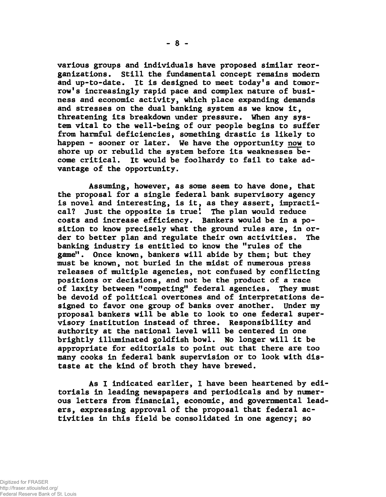**various groups and individuals have proposed similar reorganizations. Still the fundamental concept remains modem and up-to-date. It is designed to meet today's and tomorrow's increasingly rapid pace and complex nature of business and economic activity, which place expanding demands and stresses on the dual banking system as we know it, threatening its breakdown under pressure. When any system vital to the well-being of our people begins to suffer from harmful deficiencies, something drastic is likely to happen - sooner or later. We have the opportunity now to shore up or rebuild the system before its weaknesses become critical. It would be foolhardy to fail to take advantage of the opportunity.**

**Assuming, however, as some seem to have done, that the proposal for a single federal bank supervisory agency is novel and interesting, is it, as they assert, impractical? Just the opposite is true'. The plan would reduce costs and increase efficiency. Bankers would be in a position to know precisely what the ground rules are, in order to better plan and regulate their own activities. The banking industry is entitled to know the "rules of the game". Once known, bankers will abide by them; but they must be known, not buried in the midst of numerous press releases of multiple agencies, not confused by conflicting positions or decisions, and not be the product of a race of laxity between "competing" federal agencies. They must be devoid of political overtones and of interpretations designed to favor one group of banks over another. Under my proposal bankers will be able to look to one federal supervisory institution instead of three. Responsibility and authority at the national level will be centered in one brightly illuminated goldfish bowl. No longer will it be appropriate for editorials to point out that there are too many cooks in federal bank supervision or to look with distaste at the kind of broth they have brewed.**

**As I indicated earlier, 1 have been heartened by editorials in leading newspapers and periodicals and by numerous letters from financial, economic, and governmental leaders, expressing approval of the proposal that federal activities in this field be consolidated in one agency; so**